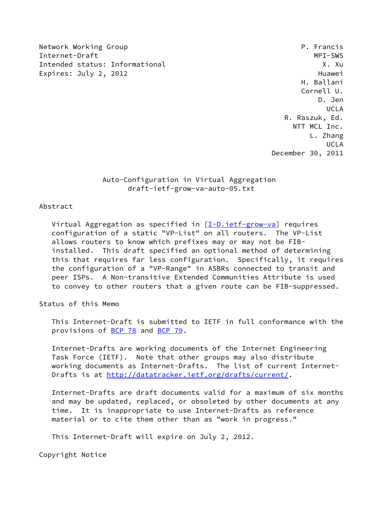Network Working Group **P. Francis** Internet-Draft MPI-SWS Intended status: Informational X. Xu Expires: July 2, 2012 **Huawei** 

 H. Ballani Cornell U. D. Jen UCLA R. Raszuk, Ed. NTT MCL Inc. L. Zhang UCLA December 30, 2011

> Auto-Configuration in Virtual Aggregation draft-ietf-grow-va-auto-05.txt

# Abstract

Virtual Aggregation as specified in  $[I-D.ietf-grow-va]$  $[I-D.ietf-grow-va]$  requires configuration of a static "VP-List" on all routers. The VP-List allows routers to know which prefixes may or may not be FIB installed. This draft specified an optional method of determining this that requires far less configuration. Specifically, it requires the configuration of a "VP-Range" in ASBRs connected to transit and peer ISPs. A Non-transitive Extended Communities Attribute is used to convey to other routers that a given route can be FIB-suppressed.

Status of this Memo

 This Internet-Draft is submitted to IETF in full conformance with the provisions of [BCP 78](https://datatracker.ietf.org/doc/pdf/bcp78) and [BCP 79](https://datatracker.ietf.org/doc/pdf/bcp79).

 Internet-Drafts are working documents of the Internet Engineering Task Force (IETF). Note that other groups may also distribute working documents as Internet-Drafts. The list of current Internet- Drafts is at<http://datatracker.ietf.org/drafts/current/>.

 Internet-Drafts are draft documents valid for a maximum of six months and may be updated, replaced, or obsoleted by other documents at any time. It is inappropriate to use Internet-Drafts as reference material or to cite them other than as "work in progress."

This Internet-Draft will expire on July 2, 2012.

Copyright Notice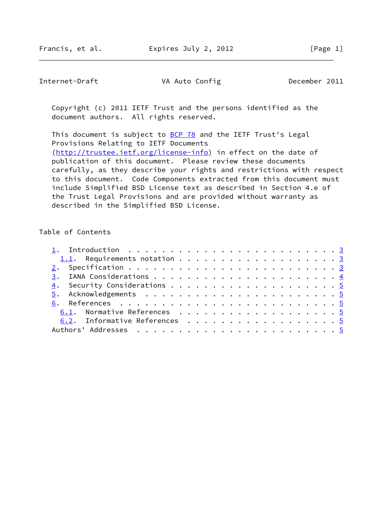Internet-Draft VA Auto Config December 2011

 Copyright (c) 2011 IETF Trust and the persons identified as the document authors. All rights reserved.

This document is subject to **[BCP 78](https://datatracker.ietf.org/doc/pdf/bcp78)** and the IETF Trust's Legal Provisions Relating to IETF Documents [\(http://trustee.ietf.org/license-info](http://trustee.ietf.org/license-info)) in effect on the date of publication of this document. Please review these documents carefully, as they describe your rights and restrictions with respect to this document. Code Components extracted from this document must include Simplified BSD License text as described in Section 4.e of the Trust Legal Provisions and are provided without warranty as described in the Simplified BSD License.

## Table of Contents

| 6.1. Normative References 5   |
|-------------------------------|
| 6.2. Informative References 5 |
|                               |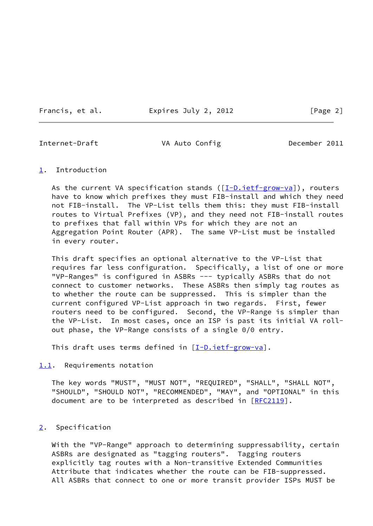Francis, et al. Expires July 2, 2012 [Page 2]

<span id="page-2-1"></span>

Internet-Draft VA Auto Config December 2011

### <span id="page-2-0"></span>[1](#page-2-0). Introduction

As the current VA specification stands  $([I-D.iett-grow-va])$ , routers have to know which prefixes they must FIB-install and which they need not FIB-install. The VP-List tells them this: they must FIB-install routes to Virtual Prefixes (VP), and they need not FIB-install routes to prefixes that fall within VPs for which they are not an Aggregation Point Router (APR). The same VP-List must be installed in every router.

 This draft specifies an optional alternative to the VP-List that requires far less configuration. Specifically, a list of one or more "VP-Ranges" is configured in ASBRs --- typically ASBRs that do not connect to customer networks. These ASBRs then simply tag routes as to whether the route can be suppressed. This is simpler than the current configured VP-List approach in two regards. First, fewer routers need to be configured. Second, the VP-Range is simpler than the VP-List. In most cases, once an ISP is past its initial VA roll out phase, the VP-Range consists of a single 0/0 entry.

This draft uses terms defined in  $[I-D.iett-grow-va]$ .

<span id="page-2-2"></span>[1.1](#page-2-2). Requirements notation

 The key words "MUST", "MUST NOT", "REQUIRED", "SHALL", "SHALL NOT", "SHOULD", "SHOULD NOT", "RECOMMENDED", "MAY", and "OPTIONAL" in this document are to be interpreted as described in [\[RFC2119](https://datatracker.ietf.org/doc/pdf/rfc2119)].

### <span id="page-2-3"></span>[2](#page-2-3). Specification

 With the "VP-Range" approach to determining suppressability, certain ASBRs are designated as "tagging routers". Tagging routers explicitly tag routes with a Non-transitive Extended Communities Attribute that indicates whether the route can be FIB-suppressed. All ASBRs that connect to one or more transit provider ISPs MUST be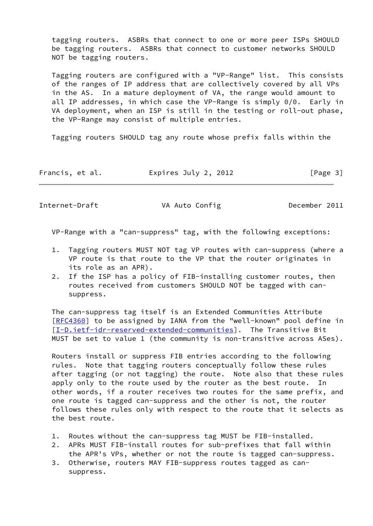tagging routers. ASBRs that connect to one or more peer ISPs SHOULD be tagging routers. ASBRs that connect to customer networks SHOULD NOT be tagging routers.

 Tagging routers are configured with a "VP-Range" list. This consists of the ranges of IP address that are collectively covered by all VPs in the AS. In a mature deployment of VA, the range would amount to all IP addresses, in which case the VP-Range is simply 0/0. Early in VA deployment, when an ISP is still in the testing or roll-out phase, the VP-Range may consist of multiple entries.

Tagging routers SHOULD tag any route whose prefix falls within the

| Francis, et al. | Expires July 2, 2012 | [Page 3] |
|-----------------|----------------------|----------|
|-----------------|----------------------|----------|

<span id="page-3-0"></span>Internet-Draft VA Auto Config December 2011

VP-Range with a "can-suppress" tag, with the following exceptions:

- 1. Tagging routers MUST NOT tag VP routes with can-suppress (where a VP route is that route to the VP that the router originates in its role as an APR).
- 2. If the ISP has a policy of FIB-installing customer routes, then routes received from customers SHOULD NOT be tagged with can suppress.

 The can-suppress tag itself is an Extended Communities Attribute [\[RFC4360](https://datatracker.ietf.org/doc/pdf/rfc4360)] to be assigned by IANA from the "well-known" pool define in [\[I-D.ietf-idr-reserved-extended-communities\]](#page-4-7). The Transitive Bit MUST be set to value 1 (the community is non-transitive across ASes).

 Routers install or suppress FIB entries according to the following rules. Note that tagging routers conceptually follow these rules after tagging (or not tagging) the route. Note also that these rules apply only to the route used by the router as the best route. In other words, if a router receives two routes for the same prefix, and one route is tagged can-suppress and the other is not, the router follows these rules only with respect to the route that it selects as the best route.

- 1. Routes without the can-suppress tag MUST be FIB-installed.
- 2. APRs MUST FIB-install routes for sub-prefixes that fall within the APR's VPs, whether or not the route is tagged can-suppress.
- 3. Otherwise, routers MAY FIB-suppress routes tagged as can suppress.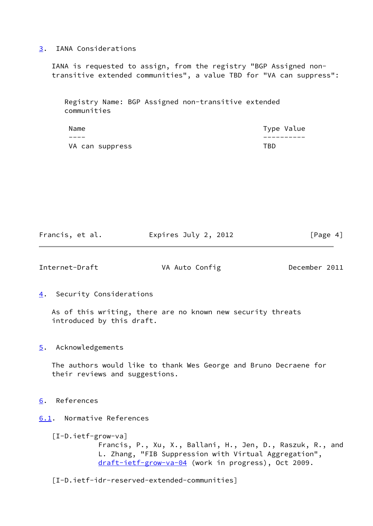## <span id="page-4-1"></span>[3](#page-4-1). IANA Considerations

 IANA is requested to assign, from the registry "BGP Assigned non transitive extended communities", a value TBD for "VA can suppress":

 Registry Name: BGP Assigned non-transitive extended communities

| Name            |      | Type Value |
|-----------------|------|------------|
|                 |      |            |
| VA can suppress | TBD. |            |

Francis, et al. **Expires July 2, 2012** [Page 4]

<span id="page-4-3"></span>Internet-Draft VA Auto Config December 2011

<span id="page-4-2"></span>[4](#page-4-2). Security Considerations

 As of this writing, there are no known new security threats introduced by this draft.

<span id="page-4-4"></span>[5](#page-4-4). Acknowledgements

 The authors would like to thank Wes George and Bruno Decraene for their reviews and suggestions.

- <span id="page-4-5"></span>[6](#page-4-5). References
- <span id="page-4-6"></span><span id="page-4-0"></span>[6.1](#page-4-6). Normative References
	- [I-D.ietf-grow-va]

 Francis, P., Xu, X., Ballani, H., Jen, D., Raszuk, R., and L. Zhang, "FIB Suppression with Virtual Aggregation", [draft-ietf-grow-va-04](https://datatracker.ietf.org/doc/pdf/draft-ietf-grow-va-04) (work in progress), Oct 2009.

<span id="page-4-7"></span>[I-D.ietf-idr-reserved-extended-communities]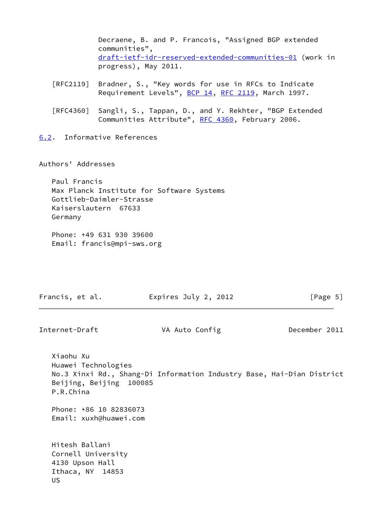| Decraene, B. and P. Francois, "Assigned BGP extended     |
|----------------------------------------------------------|
| communities",                                            |
| draft-ietf-idr-reserved-extended-communities-01 (work in |
| progress), May 2011.                                     |
|                                                          |

- [RFC2119] Bradner, S., "Key words for use in RFCs to Indicate Requirement Levels", [BCP 14](https://datatracker.ietf.org/doc/pdf/bcp14), [RFC 2119](https://datatracker.ietf.org/doc/pdf/rfc2119), March 1997.
- [RFC4360] Sangli, S., Tappan, D., and Y. Rekhter, "BGP Extended Communities Attribute", [RFC 4360,](https://datatracker.ietf.org/doc/pdf/rfc4360) February 2006.
- <span id="page-5-0"></span>[6.2](#page-5-0). Informative References

Authors' Addresses

 Paul Francis Max Planck Institute for Software Systems Gottlieb-Daimler-Strasse Kaiserslautern 67633 Germany

 Phone: +49 631 930 39600 Email: francis@mpi-sws.org

| Expires July 2, 2012<br>Francis, et al. | [Page 5] |
|-----------------------------------------|----------|
|-----------------------------------------|----------|

Internet-Draft VA Auto Config December 2011

 Xiaohu Xu Huawei Technologies No.3 Xinxi Rd., Shang-Di Information Industry Base, Hai-Dian District Beijing, Beijing 100085 P.R.China Phone: +86 10 82836073 Email: xuxh@huawei.com Hitesh Ballani Cornell University 4130 Upson Hall Ithaca, NY 14853 US